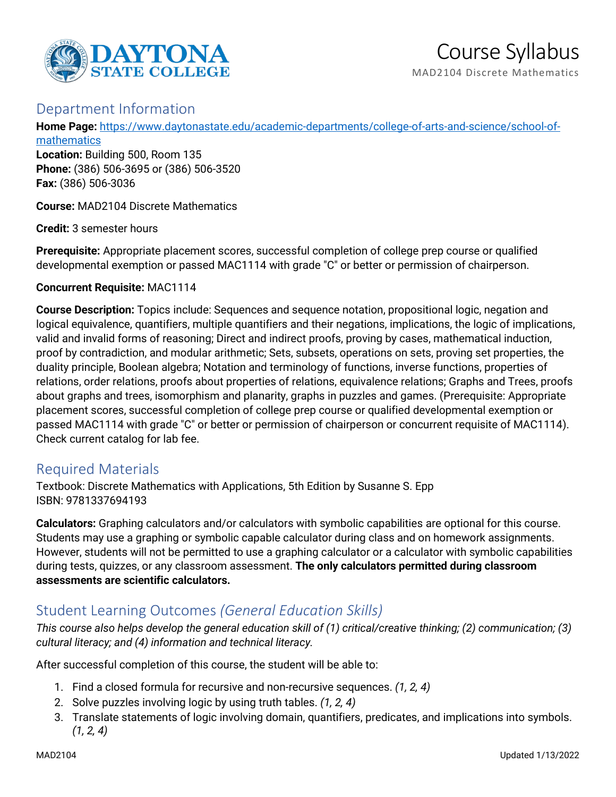

# Course Syllabus MAD2104 Discrete Mathematics

# Department Information

**Home Page:** [https://www.daytonastate.edu/academic-departments/college-of-arts-and-science/school-of-](https://www.daytonastate.edu/academic-departments/college-of-arts-and-science/school-of-mathematics)

[mathematics](https://www.daytonastate.edu/academic-departments/college-of-arts-and-science/school-of-mathematics) **Location:** Building 500, Room 135 **Phone:** (386) 506-3695 or (386) 506-3520 **Fax:** (386) 506-3036

**Course:** MAD2104 Discrete Mathematics

**Credit:** 3 semester hours

**Prerequisite:** Appropriate placement scores, successful completion of college prep course or qualified developmental exemption or passed MAC1114 with grade "C" or better or permission of chairperson.

#### **Concurrent Requisite:** MAC1114

**Course Description:** Topics include: Sequences and sequence notation, propositional logic, negation and logical equivalence, quantifiers, multiple quantifiers and their negations, implications, the logic of implications, valid and invalid forms of reasoning; Direct and indirect proofs, proving by cases, mathematical induction, proof by contradiction, and modular arithmetic; Sets, subsets, operations on sets, proving set properties, the duality principle, Boolean algebra; Notation and terminology of functions, inverse functions, properties of relations, order relations, proofs about properties of relations, equivalence relations; Graphs and Trees, proofs about graphs and trees, isomorphism and planarity, graphs in puzzles and games. (Prerequisite: Appropriate placement scores, successful completion of college prep course or qualified developmental exemption or passed MAC1114 with grade "C" or better or permission of chairperson or concurrent requisite of MAC1114). Check current catalog for lab fee.

# Required Materials

Textbook: Discrete Mathematics with Applications, 5th Edition by Susanne S. Epp ISBN: 9781337694193

**Calculators:** Graphing calculators and/or calculators with symbolic capabilities are optional for this course. Students may use a graphing or symbolic capable calculator during class and on homework assignments. However, students will not be permitted to use a graphing calculator or a calculator with symbolic capabilities during tests, quizzes, or any classroom assessment. **The only calculators permitted during classroom assessments are scientific calculators.**

# Student Learning Outcomes *(General Education Skills)*

*This course also helps develop the general education skill of (1) critical/creative thinking; (2) communication; (3) cultural literacy; and (4) information and technical literacy.*

After successful completion of this course, the student will be able to:

- 1. Find a closed formula for recursive and non-recursive sequences. *(1, 2, 4)*
- 2. Solve puzzles involving logic by using truth tables. *(1, 2, 4)*
- 3. Translate statements of logic involving domain, quantifiers, predicates, and implications into symbols. *(1, 2, 4)*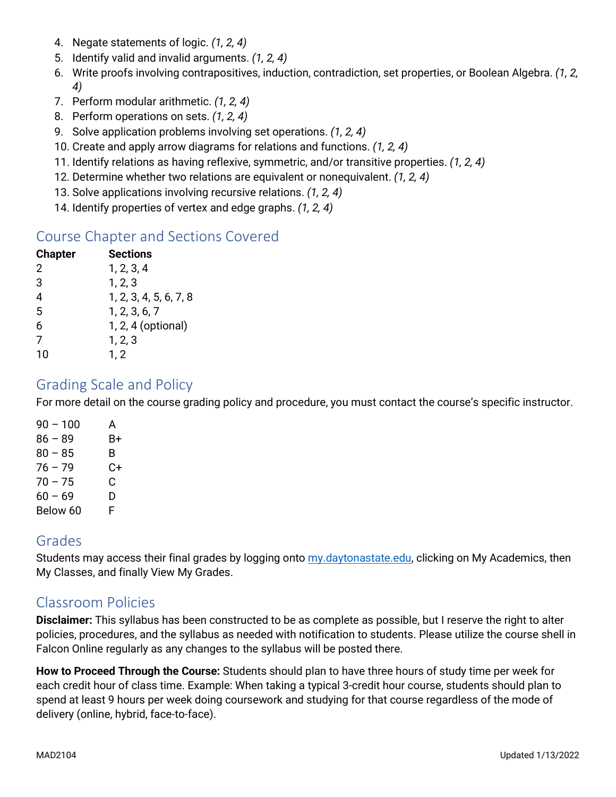- 4. Negate statements of logic. *(1, 2, 4)*
- 5. Identify valid and invalid arguments. *(1, 2, 4)*
- 6. Write proofs involving contrapositives, induction, contradiction, set properties, or Boolean Algebra. *(1, 2, 4)*
- 7. Perform modular arithmetic. *(1, 2, 4)*
- 8. Perform operations on sets. *(1, 2, 4)*
- 9. Solve application problems involving set operations. *(1, 2, 4)*
- 10. Create and apply arrow diagrams for relations and functions. *(1, 2, 4)*
- 11. Identify relations as having reflexive, symmetric, and/or transitive properties. *(1, 2, 4)*
- 12. Determine whether two relations are equivalent or nonequivalent. *(1, 2, 4)*
- 13. Solve applications involving recursive relations. *(1, 2, 4)*
- 14. Identify properties of vertex and edge graphs. *(1, 2, 4)*

# Course Chapter and Sections Covered

| <b>Chapter</b> | <b>Sections</b>        |
|----------------|------------------------|
| 2              | 1, 2, 3, 4             |
| 3              | 1, 2, 3                |
| 4              | 1, 2, 3, 4, 5, 6, 7, 8 |
| 5              | 1, 2, 3, 6, 7          |
| 6              | 1, 2, 4 (optional)     |
| 7              | 1, 2, 3                |
| 10             | 1, 2                   |

### Grading Scale and Policy

For more detail on the course grading policy and procedure, you must contact the course's specific instructor.

| 90 - 100  | А  |
|-----------|----|
| $86 - 89$ | B+ |
| $80 - 85$ | B  |
| $76 - 79$ | C+ |
| $70 - 75$ | C  |
| $60 - 69$ | D  |
| Below 60  | F  |

### Grades

Students may access their final grades by logging onto [my.daytonastate.edu,](https://my.daytonastate.edu/) clicking on My Academics, then My Classes, and finally View My Grades.

# Classroom Policies

**Disclaimer:** This syllabus has been constructed to be as complete as possible, but I reserve the right to alter policies, procedures, and the syllabus as needed with notification to students. Please utilize the course shell in Falcon Online regularly as any changes to the syllabus will be posted there.

**How to Proceed Through the Course:** Students should plan to have three hours of study time per week for each credit hour of class time. Example: When taking a typical 3-credit hour course, students should plan to spend at least 9 hours per week doing coursework and studying for that course regardless of the mode of delivery (online, hybrid, face-to-face).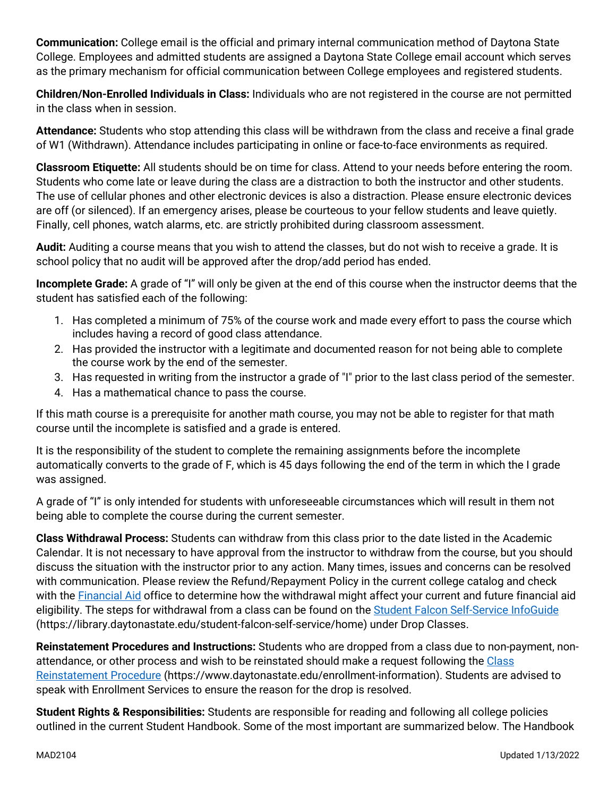**Communication:** College email is the official and primary internal communication method of Daytona State College. Employees and admitted students are assigned a Daytona State College email account which serves as the primary mechanism for official communication between College employees and registered students.

**Children/Non-Enrolled Individuals in Class:** Individuals who are not registered in the course are not permitted in the class when in session.

**Attendance:** Students who stop attending this class will be withdrawn from the class and receive a final grade of W1 (Withdrawn). Attendance includes participating in online or face-to-face environments as required.

**Classroom Etiquette:** All students should be on time for class. Attend to your needs before entering the room. Students who come late or leave during the class are a distraction to both the instructor and other students. The use of cellular phones and other electronic devices is also a distraction. Please ensure electronic devices are off (or silenced). If an emergency arises, please be courteous to your fellow students and leave quietly. Finally, cell phones, watch alarms, etc. are strictly prohibited during classroom assessment.

**Audit:** Auditing a course means that you wish to attend the classes, but do not wish to receive a grade. It is school policy that no audit will be approved after the drop/add period has ended.

**Incomplete Grade:** A grade of "I" will only be given at the end of this course when the instructor deems that the student has satisfied each of the following:

- 1. Has completed a minimum of 75% of the course work and made every effort to pass the course which includes having a record of good class attendance.
- 2. Has provided the instructor with a legitimate and documented reason for not being able to complete the course work by the end of the semester.
- 3. Has requested in writing from the instructor a grade of "I" prior to the last class period of the semester.
- 4. Has a mathematical chance to pass the course.

If this math course is a prerequisite for another math course, you may not be able to register for that math course until the incomplete is satisfied and a grade is entered.

It is the responsibility of the student to complete the remaining assignments before the incomplete automatically converts to the grade of F, which is 45 days following the end of the term in which the I grade was assigned.

A grade of "I" is only intended for students with unforeseeable circumstances which will result in them not being able to complete the course during the current semester.

**Class Withdrawal Process:** Students can withdraw from this class prior to the date listed in the Academic Calendar. It is not necessary to have approval from the instructor to withdraw from the course, but you should discuss the situation with the instructor prior to any action. Many times, issues and concerns can be resolved with communication. Please review the Refund/Repayment Policy in the current college catalog and check with the [Financial Aid](https://www.daytonastate.edu/financial-aid) office to determine how the withdrawal might affect your current and future financial aid eligibility. The steps for withdrawal from a class can be found on the [Student Falcon Self-Service InfoGuide](https://library.daytonastate.edu/student-falcon-self-service/home) (https://library.daytonastate.edu/student-falcon-self-service/home) under Drop Classes.

**Reinstatement Procedures and Instructions:** Students who are dropped from a class due to non-payment, nonattendance, or other process and wish to be reinstated should make a request following the [Class](https://www.daytonastate.edu/enrollment-information/index.html)  [Reinstatement Procedure](https://www.daytonastate.edu/enrollment-information/index.html) (https://www.daytonastate.edu/enrollment-information). Students are advised to speak with Enrollment Services to ensure the reason for the drop is resolved.

**Student Rights & Responsibilities:** Students are responsible for reading and following all college policies outlined in the current Student Handbook. Some of the most important are summarized below. The Handbook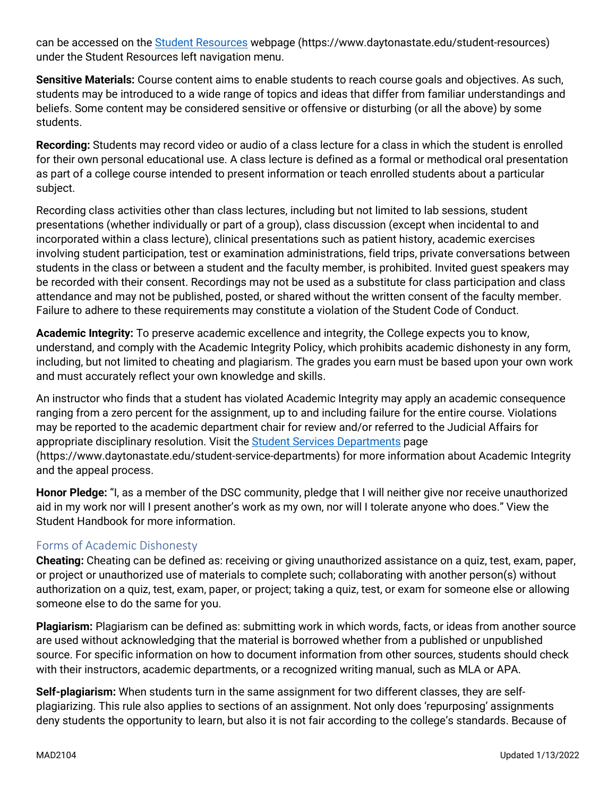can be accessed on the [Student Resources](https://www.daytonastate.edu/student-resources) webpage (https://www.daytonastate.edu/student-resources) under the Student Resources left navigation menu.

**Sensitive Materials:** Course content aims to enable students to reach course goals and objectives. As such, students may be introduced to a wide range of topics and ideas that differ from familiar understandings and beliefs. Some content may be considered sensitive or offensive or disturbing (or all the above) by some students.

**Recording:** Students may record video or audio of a class lecture for a class in which the student is enrolled for their own personal educational use. A class lecture is defined as a formal or methodical oral presentation as part of a college course intended to present information or teach enrolled students about a particular subject.

Recording class activities other than class lectures, including but not limited to lab sessions, student presentations (whether individually or part of a group), class discussion (except when incidental to and incorporated within a class lecture), clinical presentations such as patient history, academic exercises involving student participation, test or examination administrations, field trips, private conversations between students in the class or between a student and the faculty member, is prohibited. Invited guest speakers may be recorded with their consent. Recordings may not be used as a substitute for class participation and class attendance and may not be published, posted, or shared without the written consent of the faculty member. Failure to adhere to these requirements may constitute a violation of the Student Code of Conduct.

**Academic Integrity:** To preserve academic excellence and integrity, the College expects you to know, understand, and comply with the Academic Integrity Policy, which prohibits academic dishonesty in any form, including, but not limited to cheating and plagiarism. The grades you earn must be based upon your own work and must accurately reflect your own knowledge and skills.

An instructor who finds that a student has violated Academic Integrity may apply an academic consequence ranging from a zero percent for the assignment, up to and including failure for the entire course. Violations may be reported to the academic department chair for review and/or referred to the Judicial Affairs for appropriate disciplinary resolution. Visit the [Student Services Departments](https://www.daytonastate.edu/student-service-departments) page (https://www.daytonastate.edu/student-service-departments) for more information about Academic Integrity and the appeal process.

**Honor Pledge:** "I, as a member of the DSC community, pledge that I will neither give nor receive unauthorized aid in my work nor will I present another's work as my own, nor will I tolerate anyone who does." View the Student Handbook for more information.

### Forms of Academic Dishonesty

**Cheating:** Cheating can be defined as: receiving or giving unauthorized assistance on a quiz, test, exam, paper, or project or unauthorized use of materials to complete such; collaborating with another person(s) without authorization on a quiz, test, exam, paper, or project; taking a quiz, test, or exam for someone else or allowing someone else to do the same for you.

**Plagiarism:** Plagiarism can be defined as: submitting work in which words, facts, or ideas from another source are used without acknowledging that the material is borrowed whether from a published or unpublished source. For specific information on how to document information from other sources, students should check with their instructors, academic departments, or a recognized writing manual, such as MLA or APA.

**Self-plagiarism:** When students turn in the same assignment for two different classes, they are selfplagiarizing. This rule also applies to sections of an assignment. Not only does 'repurposing' assignments deny students the opportunity to learn, but also it is not fair according to the college's standards. Because of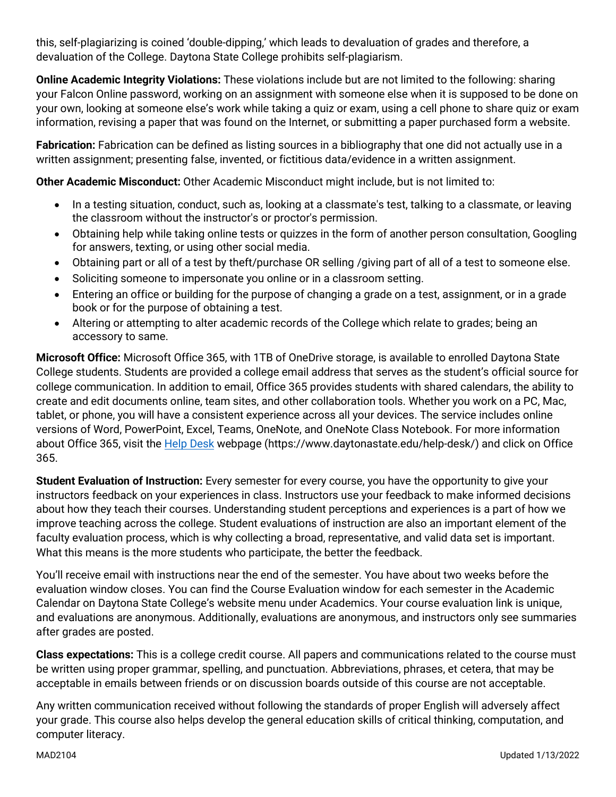this, self-plagiarizing is coined 'double-dipping,' which leads to devaluation of grades and therefore, a devaluation of the College. Daytona State College prohibits self-plagiarism.

**Online Academic Integrity Violations:** These violations include but are not limited to the following: sharing your Falcon Online password, working on an assignment with someone else when it is supposed to be done on your own, looking at someone else's work while taking a quiz or exam, using a cell phone to share quiz or exam information, revising a paper that was found on the Internet, or submitting a paper purchased form a website.

**Fabrication:** Fabrication can be defined as listing sources in a bibliography that one did not actually use in a written assignment; presenting false, invented, or fictitious data/evidence in a written assignment.

**Other Academic Misconduct:** Other Academic Misconduct might include, but is not limited to:

- In a testing situation, conduct, such as, looking at a classmate's test, talking to a classmate, or leaving the classroom without the instructor's or proctor's permission.
- Obtaining help while taking online tests or quizzes in the form of another person consultation, Googling for answers, texting, or using other social media.
- Obtaining part or all of a test by theft/purchase OR selling /giving part of all of a test to someone else.
- Soliciting someone to impersonate you online or in a classroom setting.
- Entering an office or building for the purpose of changing a grade on a test, assignment, or in a grade book or for the purpose of obtaining a test.
- Altering or attempting to alter academic records of the College which relate to grades; being an accessory to same.

**Microsoft Office:** Microsoft Office 365, with 1TB of OneDrive storage, is available to enrolled Daytona State College students. Students are provided a college email address that serves as the student's official source for college communication. In addition to email, Office 365 provides students with shared calendars, the ability to create and edit documents online, team sites, and other collaboration tools. Whether you work on a PC, Mac, tablet, or phone, you will have a consistent experience across all your devices. The service includes online versions of Word, PowerPoint, Excel, Teams, OneNote, and OneNote Class Notebook. For more information about Office 365, visit the [Help Desk](https://www.daytonastate.edu/help-desk/) webpage (https://www.daytonastate.edu/help-desk/) and click on Office 365.

**Student Evaluation of Instruction:** Every semester for every course, you have the opportunity to give your instructors feedback on your experiences in class. Instructors use your feedback to make informed decisions about how they teach their courses. Understanding student perceptions and experiences is a part of how we improve teaching across the college. Student evaluations of instruction are also an important element of the faculty evaluation process, which is why collecting a broad, representative, and valid data set is important. What this means is the more students who participate, the better the feedback.

You'll receive email with instructions near the end of the semester. You have about two weeks before the evaluation window closes. You can find the Course Evaluation window for each semester in the Academic Calendar on Daytona State College's website menu under Academics. Your course evaluation link is unique, and evaluations are anonymous. Additionally, evaluations are anonymous, and instructors only see summaries after grades are posted.

**Class expectations:** This is a college credit course. All papers and communications related to the course must be written using proper grammar, spelling, and punctuation. Abbreviations, phrases, et cetera, that may be acceptable in emails between friends or on discussion boards outside of this course are not acceptable.

Any written communication received without following the standards of proper English will adversely affect your grade. This course also helps develop the general education skills of critical thinking, computation, and computer literacy.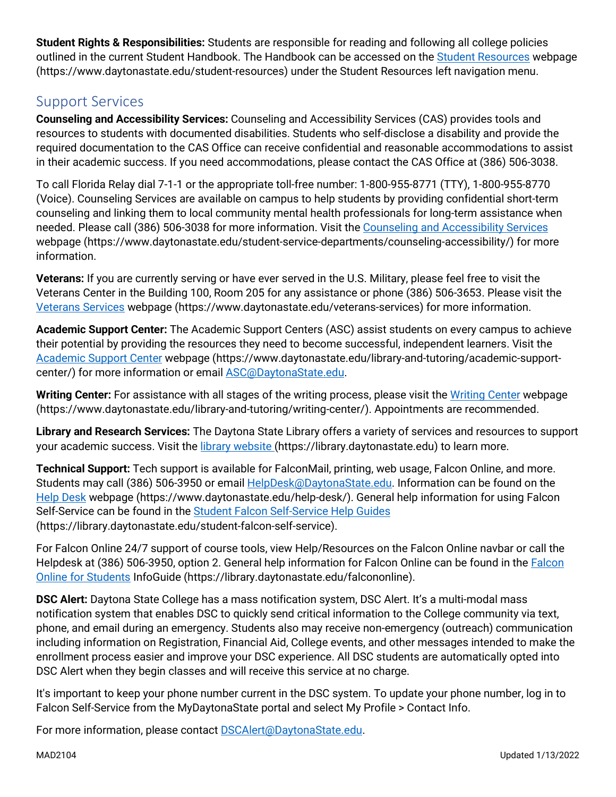**Student Rights & Responsibilities:** Students are responsible for reading and following all college policies outlined in the current Student Handbook. The Handbook can be accessed on the [Student Resources](https://www.daytonastate.edu/student-resources) webpage (https://www.daytonastate.edu/student-resources) under the Student Resources left navigation menu.

# Support Services

**Counseling and Accessibility Services:** Counseling and Accessibility Services (CAS) provides tools and resources to students with documented disabilities. Students who self-disclose a disability and provide the required documentation to the CAS Office can receive confidential and reasonable accommodations to assist in their academic success. If you need accommodations, please contact the CAS Office at (386) 506-3038.

To call Florida Relay dial 7-1-1 or the appropriate toll-free number: 1-800-955-8771 (TTY), 1-800-955-8770 (Voice). Counseling Services are available on campus to help students by providing confidential short-term counseling and linking them to local community mental health professionals for long-term assistance when needed. Please call (386) 506-3038 for more information. Visit the [Counseling and Accessibility Services](https://www.daytonastate.edu/student-service-departments/counseling-accessibility/) webpage (https://www.daytonastate.edu/student-service-departments/counseling-accessibility/) for more information.

**Veterans:** If you are currently serving or have ever served in the U.S. Military, please feel free to visit the Veterans Center in the Building 100, Room 205 for any assistance or phone (386) 506-3653. Please visit the [Veterans Services](https://www.daytonastate.edu/veterans-services) webpage (https://www.daytonastate.edu/veterans-services) for more information.

**Academic Support Center:** The Academic Support Centers (ASC) assist students on every campus to achieve their potential by providing the resources they need to become successful, independent learners. Visit the [Academic Support Center](https://www.daytonastate.edu/library-and-tutoring/academic-support-center/index.html) webpage (https://www.daytonastate.edu/library-and-tutoring/academic-supportcenter/) for more information or email [ASC@DaytonaState.edu.](mailto:ASC@DaytonaState.edu)

**Writing Center:** For assistance with all stages of the writing process, please visit the [Writing Center](https://www.daytonastate.edu/library-and-tutoring/writing-center/) webpage (https://www.daytonastate.edu/library-and-tutoring/writing-center/). Appointments are recommended.

**Library and Research Services:** The Daytona State Library offers a variety of services and resources to support your academic success. Visit the [library website \(](https://library.daytonastate.edu/index)https://library.daytonastate.edu) to learn more.

**Technical Support:** Tech support is available for FalconMail, printing, web usage, Falcon Online, and more. Students may call (386) 506-3950 or email [HelpDesk@DaytonaState.edu.](mailto:HelpDesk@DaytonaState.edu) Information can be found on the [Help Desk](https://www.daytonastate.edu/help-desk/) webpage (https://www.daytonastate.edu/help-desk/). General help information for using Falcon Self-Service can be found in the [Student Falcon Self-Service Help Guides](https://library.daytonastate.edu/student-falcon-self-service) (https://library.daytonastate.edu/student-falcon-self-service).

For Falcon Online 24/7 support of course tools, view Help/Resources on the Falcon Online navbar or call the Helpdesk at (386) 506-3950, option 2. General help information for [Falcon](https://library.daytonastate.edu/falcononline) Online can be found in the Falcon [Online for Students](https://library.daytonastate.edu/falcononline) InfoGuide (https://library.daytonastate.edu/falcononline).

**DSC Alert:** Daytona State College has a mass notification system, DSC Alert. It's a multi-modal mass notification system that enables DSC to quickly send critical information to the College community via text, phone, and email during an emergency. Students also may receive non-emergency (outreach) communication including information on Registration, Financial Aid, College events, and other messages intended to make the enrollment process easier and improve your DSC experience. All DSC students are automatically opted into DSC Alert when they begin classes and will receive this service at no charge.

It's important to keep your phone number current in the DSC system. To update your phone number, log in to Falcon Self-Service from the MyDaytonaState portal and select My Profile > Contact Info.

For more information, please contact **DSCAlert**@DaytonaState.edu.